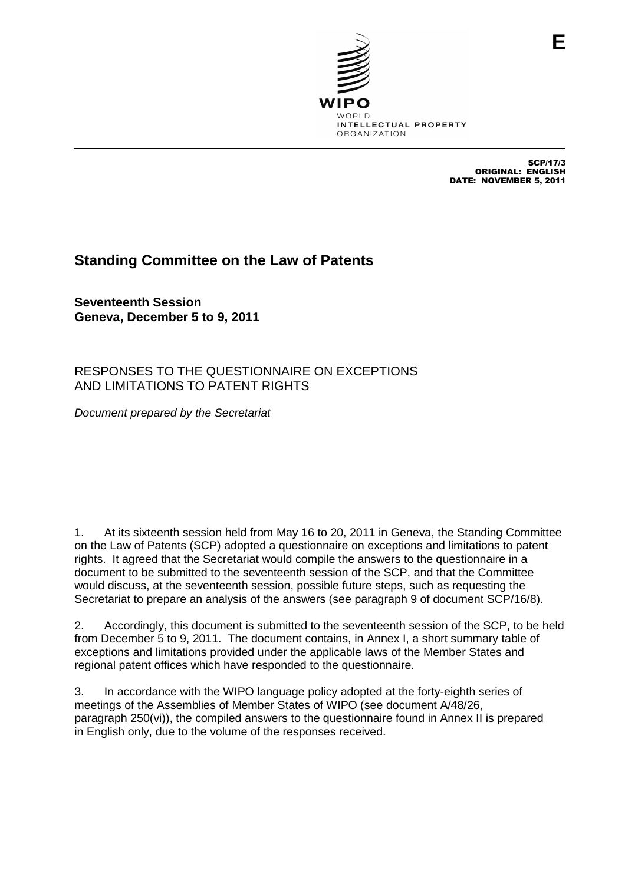

SCP/17/3 ORIGINAL: ENGLISH DATE: NOVEMBER 5, 2011

**E**

## **Standing Committee on the Law of Patents**

**Seventeenth Session Geneva, December 5 to 9, 2011**

RESPONSES TO THE QUESTIONNAIRE ON EXCEPTIONS AND LIMITATIONS TO PATENT RIGHTS

Document prepared by the Secretariat

1. At its sixteenth session held from May 16 to 20, 2011 in Geneva, the Standing Committee on the Law of Patents (SCP) adopted a questionnaire on exceptions and limitations to patent rights. It agreed that the Secretariat would compile the answers to the questionnaire in a document to be submitted to the seventeenth session of the SCP, and that the Committee would discuss, at the seventeenth session, possible future steps, such as requesting the Secretariat to prepare an analysis of the answers (see paragraph 9 of document SCP/16/8).

2. Accordingly, this document is submitted to the seventeenth session of the SCP, to be held from December 5 to 9, 2011. The document contains, in Annex I, a short summary table of exceptions and limitations provided under the applicable laws of the Member States and regional patent offices which have responded to the questionnaire.

3. In accordance with the WIPO language policy adopted at the forty-eighth series of meetings of the Assemblies of Member States of WIPO (see document A/48/26, paragraph 250(vi)), the compiled answers to the questionnaire found in Annex II is prepared in English only, due to the volume of the responses received.